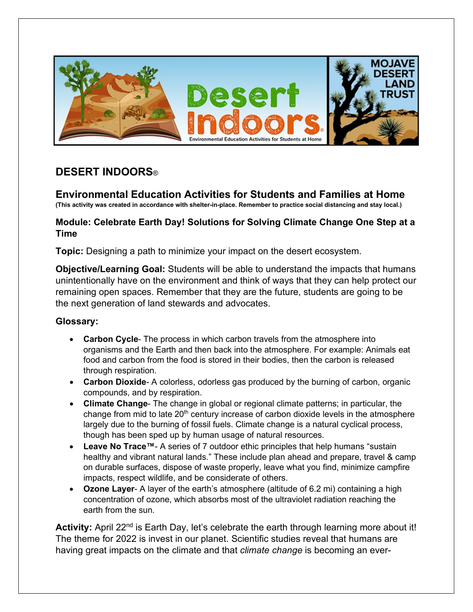

# **DESERT INDOORS**®

**Environmental Education Activities for Students and Families at Home (This activity was created in accordance with shelter-in-place. Remember to practice social distancing and stay local.)**

# **Module: Celebrate Earth Day! Solutions for Solving Climate Change One Step at a Time**

**Topic:** Designing a path to minimize your impact on the desert ecosystem.

**Objective/Learning Goal:** Students will be able to understand the impacts that humans unintentionally have on the environment and think of ways that they can help protect our remaining open spaces. Remember that they are the future, students are going to be the next generation of land stewards and advocates.

# **Glossary:**

- **Carbon Cycle** The process in which carbon travels from the atmosphere into organisms and the Earth and then back into the atmosphere. For example: Animals eat food and carbon from the food is stored in their bodies, then the carbon is released through respiration.
- **Carbon Dioxide** A colorless, odorless gas produced by the burning of carbon, organic compounds, and by respiration.
- **Climate Change** The change in global or regional climate patterns; in particular, the change from mid to late  $20<sup>th</sup>$  century increase of carbon dioxide levels in the atmosphere largely due to the burning of fossil fuels. Climate change is a natural cyclical process, though has been sped up by human usage of natural resources.
- **Leave No Trace™** A series of 7 outdoor ethic principles that help humans "sustain healthy and vibrant natural lands." These include plan ahead and prepare, travel & camp on durable surfaces, dispose of waste properly, leave what you find, minimize campfire impacts, respect wildlife, and be considerate of others.
- **Ozone Layer** A layer of the earth's atmosphere (altitude of 6.2 mi) containing a high concentration of ozone, which absorbs most of the ultraviolet radiation reaching the earth from the sun.

Activity: April 22<sup>nd</sup> is Earth Day, let's celebrate the earth through learning more about it! The theme for 2022 is invest in our planet. Scientific studies reveal that humans are having great impacts on the climate and that *climate change* is becoming an ever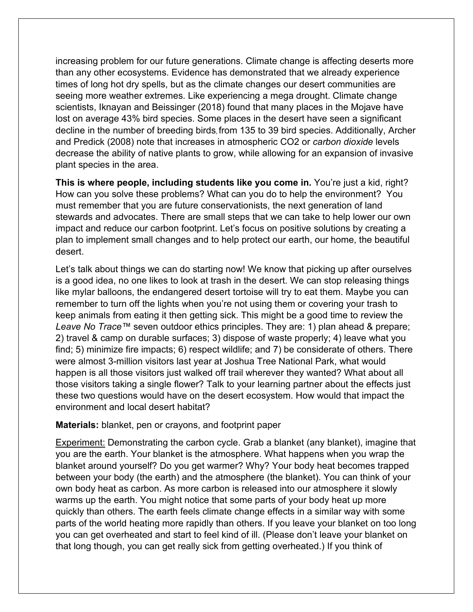increasing problem for our future generations. Climate change is affecting deserts more than any other ecosystems. Evidence has demonstrated that we already experience times of long hot dry spells, but as the climate changes our desert communities are seeing more weather extremes. Like experiencing a mega drought. Climate change scientists, Iknayan and Beissinger (2018) found that many places in the Mojave have lost on average 43% bird species. Some places in the desert have seen a significant decline in the number of breeding birds, from 135 to 39 bird species. Additionally, Archer and Predick (2008) note that increases in atmospheric CO2 or *carbon dioxide* levels decrease the ability of native plants to grow, while allowing for an expansion of invasive plant species in the area.

**This is where people, including students like you come in.** You're just a kid, right? How can you solve these problems? What can you do to help the environment? You must remember that you are future conservationists, the next generation of land stewards and advocates. There are small steps that we can take to help lower our own impact and reduce our carbon footprint. Let's focus on positive solutions by creating a plan to implement small changes and to help protect our earth, our home, the beautiful desert.

Let's talk about things we can do starting now! We know that picking up after ourselves is a good idea, no one likes to look at trash in the desert. We can stop releasing things like mylar balloons, the endangered desert tortoise will try to eat them. Maybe you can remember to turn off the lights when you're not using them or covering your trash to keep animals from eating it then getting sick. This might be a good time to review the *Leave No Trace™* seven outdoor ethics principles. They are: 1) plan ahead & prepare; 2) travel & camp on durable surfaces; 3) dispose of waste properly; 4) leave what you find; 5) minimize fire impacts; 6) respect wildlife; and 7) be considerate of others. There were almost 3-million visitors last year at Joshua Tree National Park, what would happen is all those visitors just walked off trail wherever they wanted? What about all those visitors taking a single flower? Talk to your learning partner about the effects just these two questions would have on the desert ecosystem. How would that impact the environment and local desert habitat?

#### **Materials:** blanket, pen or crayons, and footprint paper

Experiment: Demonstrating the carbon cycle. Grab a blanket (any blanket), imagine that you are the earth. Your blanket is the atmosphere. What happens when you wrap the blanket around yourself? Do you get warmer? Why? Your body heat becomes trapped between your body (the earth) and the atmosphere (the blanket). You can think of your own body heat as carbon. As more carbon is released into our atmosphere it slowly warms up the earth. You might notice that some parts of your body heat up more quickly than others. The earth feels climate change effects in a similar way with some parts of the world heating more rapidly than others. If you leave your blanket on too long you can get overheated and start to feel kind of ill. (Please don't leave your blanket on that long though, you can get really sick from getting overheated.) If you think of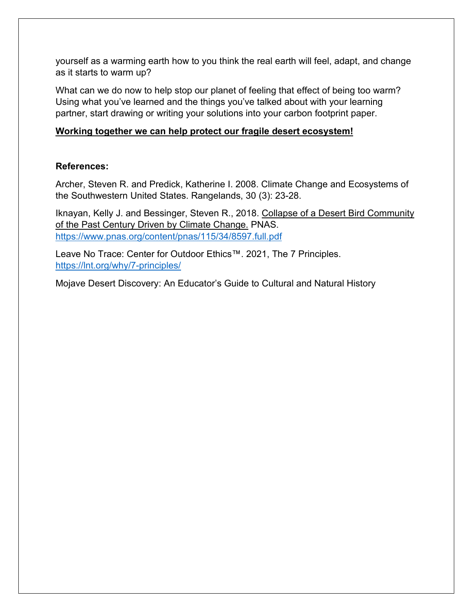yourself as a warming earth how to you think the real earth will feel, adapt, and change as it starts to warm up?

What can we do now to help stop our planet of feeling that effect of being too warm? Using what you've learned and the things you've talked about with your learning partner, start drawing or writing your solutions into your carbon footprint paper.

## **Working together we can help protect our fragile desert ecosystem!**

### **References:**

Archer, Steven R. and Predick, Katherine I. 2008. Climate Change and Ecosystems of the Southwestern United States. Rangelands, 30 (3): 23-28.

Iknayan, Kelly J. and Bessinger, Steven R., 2018. Collapse of a Desert Bird Community of the Past Century Driven by Climate Change. PNAS. <https://www.pnas.org/content/pnas/115/34/8597.full.pdf>

Leave No Trace: Center for Outdoor Ethics™. 2021, The 7 Principles. <https://lnt.org/why/7-principles/>

Mojave Desert Discovery: An Educator's Guide to Cultural and Natural History